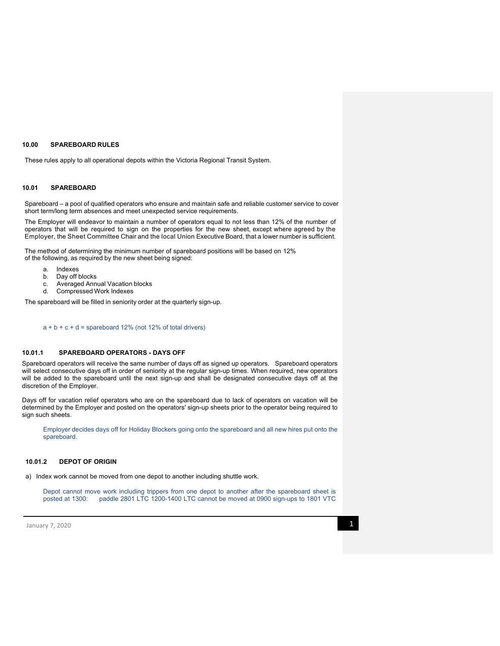### **10.00 SPAREBOARD RULES**

These rules apply to all operational depots within the Victoria Regional Transit System.

# **10.01 SPAREBOARD**

Spareboard – a pool of qualified operators who ensure and maintain safe and reliable customer service to cover short term/long term absences and meet unexpected service requirements.

The Employer will endeavor to maintain a number of operators equal to not less than 12% of the number of operators that will be required to sign on the properties for the new sheet, except where agreed by the Employer, the Sheet Committee Chair and the local Union Executive Board, that a lower number is sufficient.

The method of determining the minimum number of spareboard positions will be based on 12% of the following, as required by the new sheet being signed:

- a. Indexes
- b. Day off blocks
- c. Averaged Annual Vacation blocks
- d. Compressed Work Indexes

The spareboard will be filled in seniority order at the quarterly sign-up.

## $a + b + c + d$  = spareboard 12% (not 12% of total drivers)

# **10.01.1 SPAREBOARD OPERATORS - DAYS OFF**

Spareboard operators will receive the same number of days off as signed up operators. Spareboard operators will select consecutive days off in order of seniority at the regular sign-up times. When required, new operators will be added to the spareboard until the next sign-up and shall be designated consecutive days off at the discretion of the Employer.

Days off for vacation relief operators who are on the spareboard due to lack of operators on vacation will be determined by the Employer and posted on the operators' sign-up sheets prior to the operator being required to sign such sheets.

Employer decides days off for Holiday Blockers going onto the spareboard and all new hires put onto the spareboard.

# **10.01.2 DEPOT OF ORIGIN**

a) Index work cannot be moved from one depot to another including shuttle work.

Depot cannot move work including trippers from one depot to another after the spareboard sheet is posted at 1300: paddle 2801 LTC 1200-1400 LTC cannot be moved at 0900 sign-ups to 1801 VTC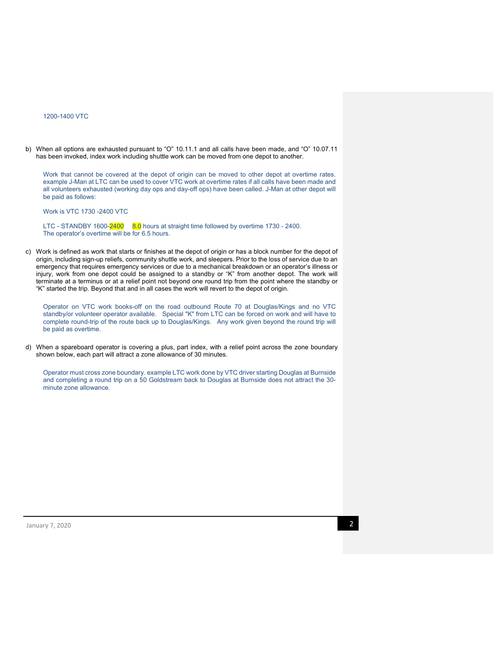## 1200-1400 VTC

b) When all options are exhausted pursuant to "O" 10.11.1 and all calls have been made, and "O" 10.07.11 has been invoked, index work including shuttle work can be moved from one depot to another.

Work that cannot be covered at the depot of origin can be moved to other depot at overtime rates. example J-Man at LTC can be used to cover VTC work at overtime rates if all calls have been made and all volunteers exhausted (working day ops and day-off ops) have been called. J-Man at other depot will be paid as follows:

Work is VTC 1730 -2400 VTC

LTC - STANDBY 1600-2400 8.0 hours at straight time followed by overtime 1730 - 2400. The operator's overtime will be for 6.5 hours.

c) Work is defined as work that starts or finishes at the depot of origin or has a block number for the depot of origin, including sign-up reliefs, community shuttle work, and sleepers. Prior to the loss of service due to an emergency that requires emergency services or due to a mechanical breakdown or an operator's illness or injury, work from one depot could be assigned to a standby or "K" from another depot. The work will terminate at a terminus or at a relief point not beyond one round trip from the point where the standby or "K" started the trip. Beyond that and in all cases the work will revert to the depot of origin.

Operator on VTC work books-off on the road outbound Route 70 at Douglas/Kings and no VTC standby/or volunteer operator available. Special "K" from LTC can be forced on work and will have to complete round-trip of the route back up to Douglas/Kings. Any work given beyond the round trip will be paid as overtime.

d) When a spareboard operator is covering a plus, part index, with a relief point across the zone boundary shown below, each part will attract a zone allowance of 30 minutes.

Operator must cross zone boundary. example LTC work done by VTC driver starting Douglas at Burnside and completing a round trip on a 50 Goldstream back to Douglas at Burnside does not attract the 30 minute zone allowance.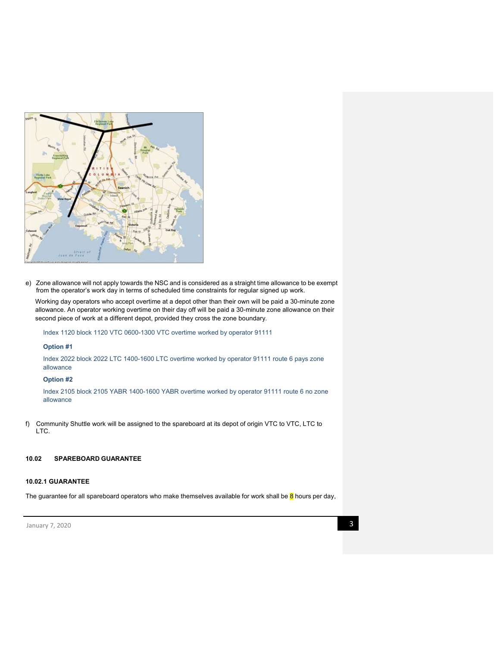

e) Zone allowance will not apply towards the NSC and is considered as a straight time allowance to be exempt from the operator's work day in terms of scheduled time constraints for regular signed up work.

Working day operators who accept overtime at a depot other than their own will be paid a 30-minute zone allowance. An operator working overtime on their day off will be paid a 30-minute zone allowance on their second piece of work at a different depot, provided they cross the zone boundary.

Index 1120 block 1120 VTC 0600-1300 VTC overtime worked by operator 91111

# **Option #1**

Index 2022 block 2022 LTC 1400-1600 LTC overtime worked by operator 91111 route 6 pays zone allowance

# **Option #2**

Index 2105 block 2105 YABR 1400-1600 YABR overtime worked by operator 91111 route 6 no zone allowance

f) Community Shuttle work will be assigned to the spareboard at its depot of origin VTC to VTC, LTC to LTC.

# **10.02 SPAREBOARD GUARANTEE**

# **10.02.1 GUARANTEE**

The guarantee for all spareboard operators who make themselves available for work shall be 8 hours per day,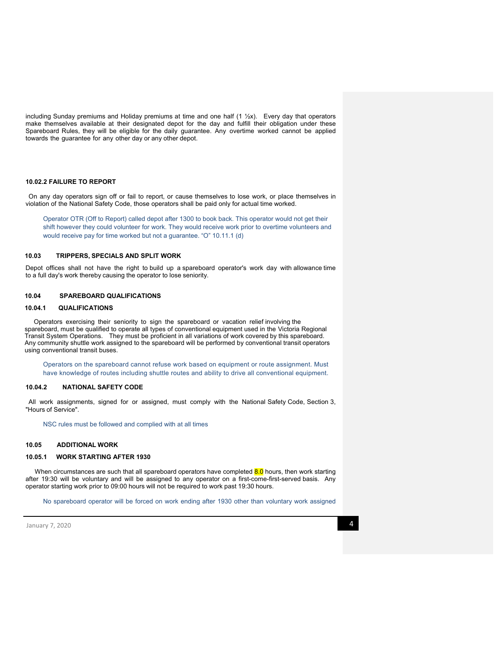including Sunday premiums and Holiday premiums at time and one half  $(1 \frac{1}{2}x)$ . Every day that operators make themselves available at their designated depot for the day and fulfill their obligation under these Spareboard Rules, they will be eligible for the daily guarantee. Any overtime worked cannot be applied towards the guarantee for any other day or any other depot.

## **10.02.2 FAILURE TO REPORT**

On any day operators sign off or fail to report, or cause themselves to lose work, or place themselves in violation of the National Safety Code, those operators shall be paid only for actual time worked.

Operator OTR (Off to Report) called depot after 1300 to book back. This operator would not get their shift however they could volunteer for work. They would receive work prior to overtime volunteers and would receive pay for time worked but not a guarantee. "O" 10.11.1 (d)

# **10.03 TRIPPERS, SPECIALS AND SPLIT WORK**

Depot offices shall not have the right to build up a spareboard operator's work day with allowance time to a full day's work thereby causing the operator to lose seniority.

# **10.04 SPAREBOARD QUALIFICATIONS**

### **10.04.1 QUALIFICATIONS**

Operators exercising their seniority to sign the spareboard or vacation relief involving the spareboard, must be qualified to operate all types of conventional equipment used in the Victoria Regional Transit System Operations. They must be proficient in all variations of work covered by this spareboard. Any community shuttle work assigned to the spareboard will be performed by conventional transit operators using conventional transit buses.

Operators on the spareboard cannot refuse work based on equipment or route assignment. Must have knowledge of routes including shuttle routes and ability to drive all conventional equipment.

### **10.04.2 NATIONAL SAFETY CODE**

All work assignments, signed for or assigned, must comply with the National Safety Code, Section 3, "Hours of Service".

NSC rules must be followed and complied with at all times

# **10.05 ADDITIONAL WORK**

# **10.05.1 WORK STARTING AFTER 1930**

When circumstances are such that all spareboard operators have completed 8.0 hours, then work starting after 19:30 will be voluntary and will be assigned to any operator on a first-come-first-served basis. Any operator starting work prior to 09:00 hours will not be required to work past 19:30 hours.

No spareboard operator will be forced on work ending after 1930 other than voluntary work assigned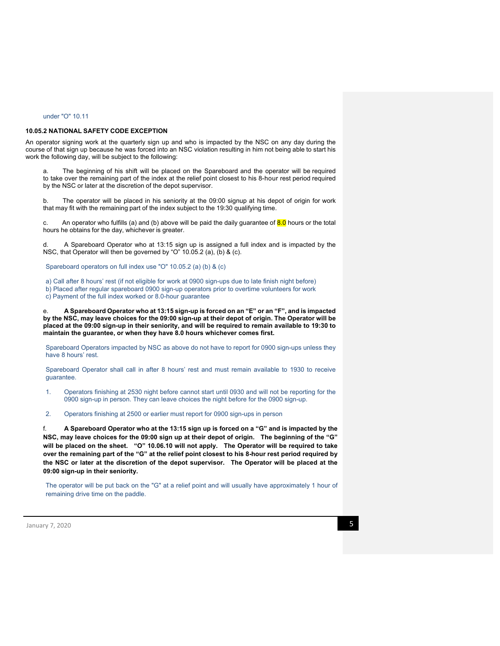## under "O" 10.11

### **10.05.2 NATIONAL SAFETY CODE EXCEPTION**

An operator signing work at the quarterly sign up and who is impacted by the NSC on any day during the course of that sign up because he was forced into an NSC violation resulting in him not being able to start his work the following day, will be subject to the following:

The beginning of his shift will be placed on the Spareboard and the operator will be required to take over the remaining part of the index at the relief point closest to his 8-hour rest period required by the NSC or later at the discretion of the depot supervisor.

b. The operator will be placed in his seniority at the 09:00 signup at his depot of origin for work that may fit with the remaining part of the index subject to the 19:30 qualifying time.

c. An operator who fulfills (a) and (b) above will be paid the daily guarantee of  $8.0$  hours or the total hours he obtains for the day, whichever is greater.

d. A Spareboard Operator who at 13:15 sign up is assigned a full index and is impacted by the NSC, that Operator will then be governed by "O" 10.05.2 (a), (b) & (c).

Spareboard operators on full index use "O" 10.05.2 (a) (b) & (c)

- a) Call after 8 hours' rest (if not eligible for work at 0900 sign-ups due to late finish night before)
- b) Placed after regular spareboard 0900 sign-up operators prior to overtime volunteers for work
- c) Payment of the full index worked or 8.0-hour guarantee

e. **A Spareboard Operator who at 13:15 sign-up is forced on an "E" or an "F", and is impacted by the NSC, may leave choices for the 09:00 sign-up at their depot of origin. The Operator will be placed at the 09:00 sign-up in their seniority, and will be required to remain available to 19:30 to maintain the guarantee, or when they have 8.0 hours whichever comes first.** 

Spareboard Operators impacted by NSC as above do not have to report for 0900 sign-ups unless they have 8 hours' rest.

Spareboard Operator shall call in after 8 hours' rest and must remain available to 1930 to receive guarantee.

- 1. Operators finishing at 2530 night before cannot start until 0930 and will not be reporting for the 0900 sign-up in person. They can leave choices the night before for the 0900 sign-up.
- 2. Operators finishing at 2500 or earlier must report for 0900 sign-ups in person

f. **A Spareboard Operator who at the 13:15 sign up is forced on a "G" and is impacted by the NSC, may leave choices for the 09:00 sign up at their depot of origin. The beginning of the "G" will be placed on the sheet. "O" 10.06.10 will not apply. The Operator will be required to take over the remaining part of the "G" at the relief point closest to his 8-hour rest period required by the NSC or later at the discretion of the depot supervisor. The Operator will be placed at the 09:00 sign-up in their seniority.**

The operator will be put back on the "G" at a relief point and will usually have approximately 1 hour of remaining drive time on the paddle.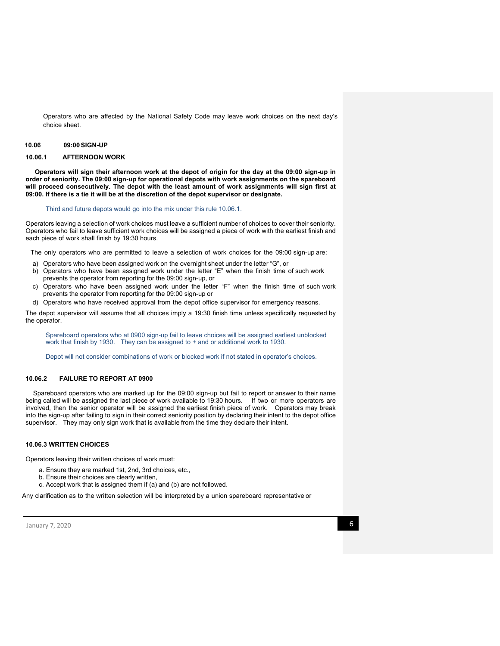Operators who are affected by the National Safety Code may leave work choices on the next day's choice sheet.

#### **10.06 09:00SIGN-UP**

# **10.06.1 AFTERNOON WORK**

 **Operators will sign their afternoon work at the depot of origin for the day at the 09:00 sign-up in order of seniority. The 09:00 sign-up for operational depots with work assignments on the spareboard will proceed consecutively. The depot with the least amount of work assignments will sign first at 09:00. If there is a tie it will be at the discretion of the depot supervisor or designate.** 

#### Third and future depots would go into the mix under this rule 10.06.1.

Operators leaving a selection of work choices must leave a sufficient number of choices to cover their seniority. Operators who fail to leave sufficient work choices will be assigned a piece of work with the earliest finish and each piece of work shall finish by 19:30 hours.

The only operators who are permitted to leave a selection of work choices for the 09:00 sign-up are:

- a) Operators who have been assigned work on the overnight sheet under the letter "G", or
- b) Operators who have been assigned work under the letter "E" when the finish time of such work prevents the operator from reporting for the 09:00 sign-up, or
- c) Operators who have been assigned work under the letter "F" when the finish time of such work prevents the operator from reporting for the 09:00 sign-up or
- d) Operators who have received approval from the depot office supervisor for emergency reasons.

The depot supervisor will assume that all choices imply a 19:30 finish time unless specifically requested by the operator.

Spareboard operators who at 0900 sign-up fail to leave choices will be assigned earliest unblocked work that finish by 1930. They can be assigned to + and or additional work to 1930.

Depot will not consider combinations of work or blocked work if not stated in operator's choices.

#### **10.06.2 FAILURE TO REPORT AT 0900**

Spareboard operators who are marked up for the 09:00 sign-up but fail to report or answer to their name being called will be assigned the last piece of work available to 19:30 hours. If two or more operators are involved, then the senior operator will be assigned the earliest finish piece of work. Operators may break into the sign-up after failing to sign in their correct seniority position by declaring their intent to the depot office supervisor. They may only sign work that is available from the time they declare their intent.

## **10.06.3 WRITTEN CHOICES**

Operators leaving their written choices of work must:

- a. Ensure they are marked 1st, 2nd, 3rd choices, etc.,
- b. Ensure their choices are clearly written,
- c. Accept work that is assigned them if (a) and (b) are not followed.

Any clarification as to the written selection will be interpreted by a union spareboard representative or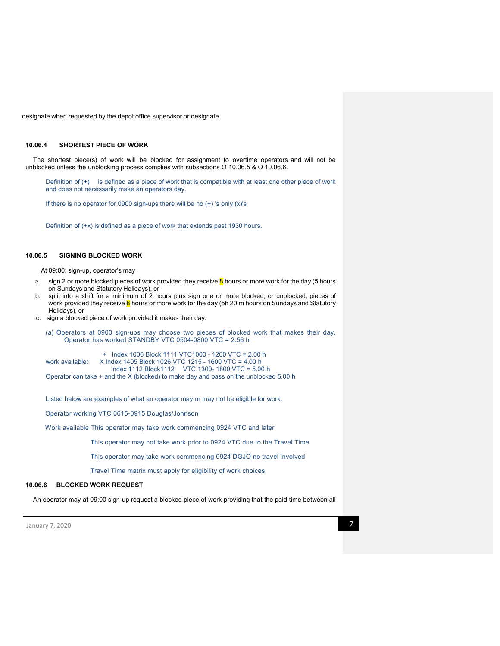designate when requested by the depot office supervisor or designate.

### **10.06.4 SHORTEST PIECE OF WORK**

The shortest piece(s) of work will be blocked for assignment to overtime operators and will not be unblocked unless the unblocking process complies with subsections O 10.06.5 & O 10.06.6.

Definition of (+) is defined as a piece of work that is compatible with at least one other piece of work and does not necessarily make an operators day.

If there is no operator for 0900 sign-ups there will be no (+) 's only (x)'s

Definition of (+x) is defined as a piece of work that extends past 1930 hours.

## **10.06.5 SIGNING BLOCKED WORK**

At 09:00: sign-up, operator's may

- a. sign 2 or more blocked pieces of work provided they receive  $\frac{8}{6}$  hours or more work for the day (5 hours on Sundays and Statutory Holidays), or
- b. split into a shift for a minimum of 2 hours plus sign one or more blocked, or unblocked, pieces of work provided they receive 8 hours or more work for the day (5h 20 m hours on Sundays and Statutory Holidays), or
- c. sign a blocked piece of work provided it makes their day.

(a) Operators at 0900 sign-ups may choose two pieces of blocked work that makes their day. Operator has worked STANDBY VTC 0504-0800 VTC = 2.56 h

 + Index 1006 Block 1111 VTC1000 - 1200 VTC = 2.00 h X Index 1405 Block 1026 VTC 1215 - 1600 VTC = 4.00 h Index 1112 Block1112 VTC 1300- 1800 VTC = 5.00 h Operator can take + and the X (blocked) to make day and pass on the unblocked 5.00 h

Listed below are examples of what an operator may or may not be eligible for work.

Operator working VTC 0615-0915 Douglas/Johnson

Work available This operator may take work commencing 0924 VTC and later

This operator may not take work prior to 0924 VTC due to the Travel Time

This operator may take work commencing 0924 DGJO no travel involved

Travel Time matrix must apply for eligibility of work choices

# **10.06.6 BLOCKED WORK REQUEST**

An operator may at 09:00 sign-up request a blocked piece of work providing that the paid time between all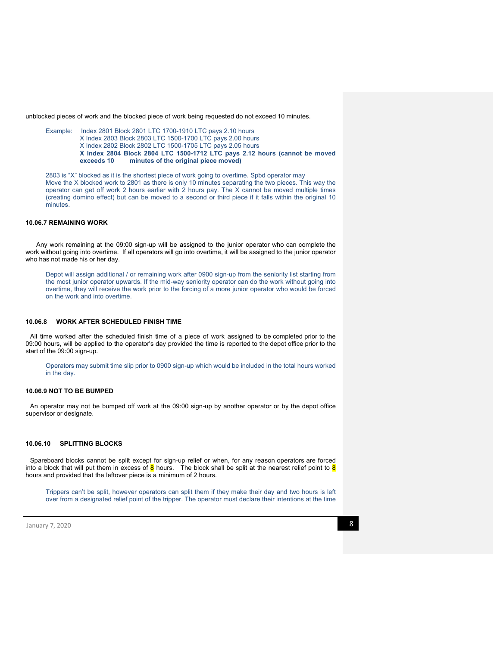unblocked pieces of work and the blocked piece of work being requested do not exceed 10 minutes.

Example: Index 2801 Block 2801 LTC 1700-1910 LTC pays 2.10 hours X Index 2803 Block 2803 LTC 1500-1700 LTC pays 2.00 hours X Index 2802 Block 2802 LTC 1500-1705 LTC pays 2.05 hours **X Index 2804 Block 2804 LTC 1500-1712 LTC pays 2.12 hours (cannot be moved**  minutes of the original piece moved)

2803 is "X" blocked as it is the shortest piece of work going to overtime. Spbd operator may Move the X blocked work to 2801 as there is only 10 minutes separating the two pieces. This way the operator can get off work 2 hours earlier with 2 hours pay. The X cannot be moved multiple times (creating domino effect) but can be moved to a second or third piece if it falls within the original 10 minutes.

## **10.06.7 REMAINING WORK**

Any work remaining at the 09:00 sign-up will be assigned to the junior operator who can complete the work without going into overtime. If all operators will go into overtime, it will be assigned to the junior operator who has not made his or her day.

Depot will assign additional / or remaining work after 0900 sign-up from the seniority list starting from the most junior operator upwards. If the mid-way seniority operator can do the work without going into overtime, they will receive the work prior to the forcing of a more junior operator who would be forced on the work and into overtime.

### **10.06.8 WORK AFTER SCHEDULED FINISH TIME**

All time worked after the scheduled finish time of a piece of work assigned to be completed prior to the 09:00 hours, will be applied to the operator's day provided the time is reported to the depot office prior to the start of the 09:00 sign-up.

Operators may submit time slip prior to 0900 sign-up which would be included in the total hours worked in the day.

### **10.06.9 NOT TO BE BUMPED**

An operator may not be bumped off work at the 09:00 sign-up by another operator or by the depot office supervisor or designate.

## **10.06.10 SPLITTING BLOCKS**

Spareboard blocks cannot be split except for sign-up relief or when, for any reason operators are forced into a block that will put them in excess of  $\overline{8}$  hours. The block shall be split at the nearest relief point to  $\overline{8}$ hours and provided that the leftover piece is a minimum of 2 hours.

Trippers can't be split, however operators can split them if they make their day and two hours is left over from a designated relief point of the tripper. The operator must declare their intentions at the time

 $\lambda$  January 7, 2020 **8**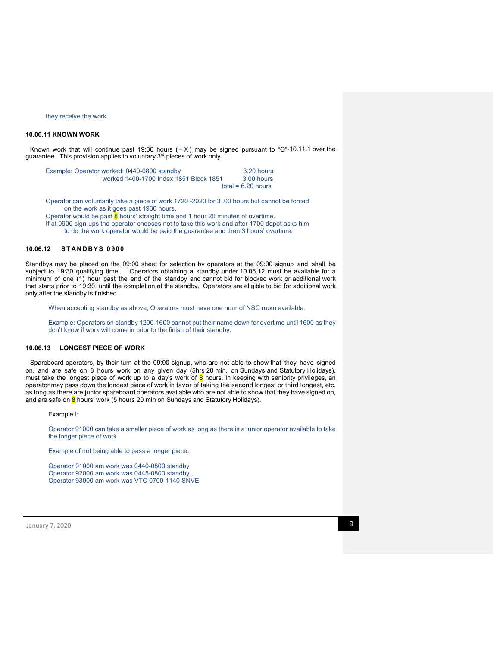#### they receive the work.

# **10.06.11 KNOWN WORK**

Known work that will continue past 19:30 hours  $(+\times)$  may be signed pursuant to "O"-10.11.1 over the guarantee. This provision applies to voluntary 3<sup>rd</sup> pieces of work only.

| Example: Operator worked: 0440-0800 standby | 3.20 hours           |
|---------------------------------------------|----------------------|
| worked 1400-1700 Index 1851 Block 1851      | 3.00 hours           |
|                                             | total = $6.20$ hours |

Operator can voluntarily take a piece of work 1720 -2020 for 3 .00 hours but cannot be forced on the work as it goes past 1930 hours.

Operator would be paid  $\overline{8}$  hours' straight time and 1 hour 20 minutes of overtime. If at 0900 sign-ups the operator chooses not to take this work and after 1700 depot asks him

to do the work operator would be paid the guarantee and then 3 hours' overtime.

# **10.06.12 S T AN D B Y S 0 9 0 0**

Standbys may be placed on the 09:00 sheet for selection by operators at the 09:00 signup and shall be subject to 19:30 qualifying time. Operators obtaining a standby under 10.06.12 must be available for a minimum of one (1) hour past the end of the standby and cannot bid for blocked work or additional work that starts prior to 19:30, until the completion of the standby. Operators are eligible to bid for additional work only after the standby is finished.

When accepting standby as above, Operators must have one hour of NSC room available.

Example: Operators on standby 1200-1600 cannot put their name down for overtime until 1600 as they don't know if work will come in prior to the finish of their standby.

#### **10.06.13 LONGEST PIECE OF WORK**

Spareboard operators, by their turn at the 09:00 signup, who are not able to show that they have signed on, and are safe on 8 hours work on any given day (5hrs 20 min. on Sundays and Statutory Holidays), must take the longest piece of work up to a day's work of  $8$  hours. In keeping with seniority privileges, an operator may pass down the longest piece of work in favor of taking the second longest or third longest, etc. as long as there are junior spareboard operators available who are not able to show that they have signed on, and are safe on  $8$  hours' work (5 hours 20 min on Sundays and Statutory Holidays).

Example I:

Operator 91000 can take a smaller piece of work as long as there is a junior operator available to take the longer piece of work

Example of not being able to pass a longer piece:

Operator 91000 am work was 0440-0800 standby Operator 92000 am work was 0445-0800 standby Operator 93000 am work was VTC 0700-1140 SNVE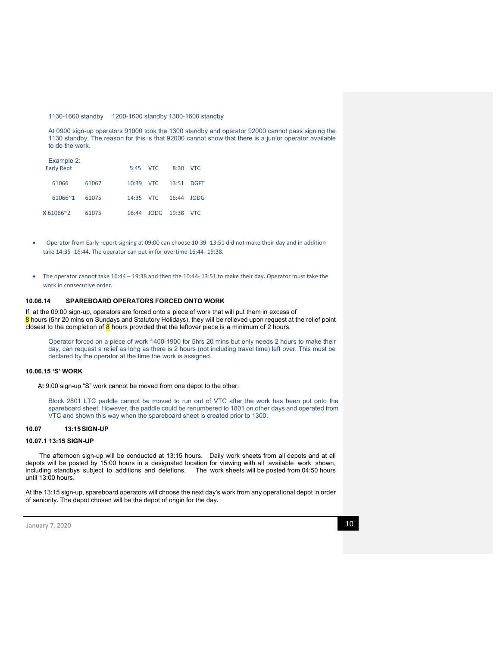1130-1600 standby 1200-1600 standby 1300-1600 standby

At 0900 sign-up operators 91000 took the 1300 standby and operator 92000 cannot pass signing the 1130 standby. The reason for this is that 92000 cannot show that there is a junior operator available to do the work.

| Example 2:<br><b>Early Rept</b> |       |           | 5:45 VTC             | 8:30 VTC   |  |
|---------------------------------|-------|-----------|----------------------|------------|--|
| 61066                           | 61067 |           | 10:39 VTC 13:51 DGFT |            |  |
| $61066^{\sim}1$                 | 61075 | 14:35 VTC |                      | 16:44 JODG |  |
| $X 61066^{\circ}2$              | 61075 | 16:44     | JODG 19:38 VTC       |            |  |

- Operator from Early report signing at 09:00 can choose 10:39‐ 13:51 did not make their day and in addition take 14:35 ‐16:44. The operator can put in for overtime 16:44‐ 19:38.
- The operator cannot take 16:44 19:38 and then the 10:44‐ 13:51 to make their day. Operator must take the work in consecutive order.

# **10.06.14 SPAREBOARD OPERATORS FORCED ONTO WORK**

If, at the 09:00 sign-up, operators are forced onto a piece of work that will put them in excess of 8 hours (5hr 20 mins on Sundays and Statutory Holidays), they will be relieved upon request at the relief point closest to the completion of  $8$  hours provided that the leftover piece is a minimum of 2 hours.

Operator forced on a piece of work 1400-1900 for 5hrs 20 mins but only needs 2 hours to make their day, can request a relief as long as there is 2 hours (not including travel time) left over. This must be declared by the operator at the time the work is assigned.

### **10.06.15 'S' WORK**

At 9:00 sign-up "S" work cannot be moved from one depot to the other.

Block 2801 LTC paddle cannot be moved to run out of VTC after the work has been put onto the spareboard sheet. However, the paddle could be renumbered to 1801 on other days and operated from VTC and shown this way when the spareboard sheet is created prior to 1300.

#### **10.07 13:15SIGN-UP**

#### **10.07.1 13:15 SIGN-UP**

The afternoon sign-up will be conducted at 13:15 hours. Daily work sheets from all depots and at all depots will be posted by 15:00 hours in a designated location for viewing with all available work shown, including standbys subject to additions and deletions. The work sheets will be posted from 04:50 hours until 13:00 hours.

At the 13:15 sign-up, spareboard operators will choose the next day's work from any operational depot in order of seniority. The depot chosen will be the depot of origin for the day.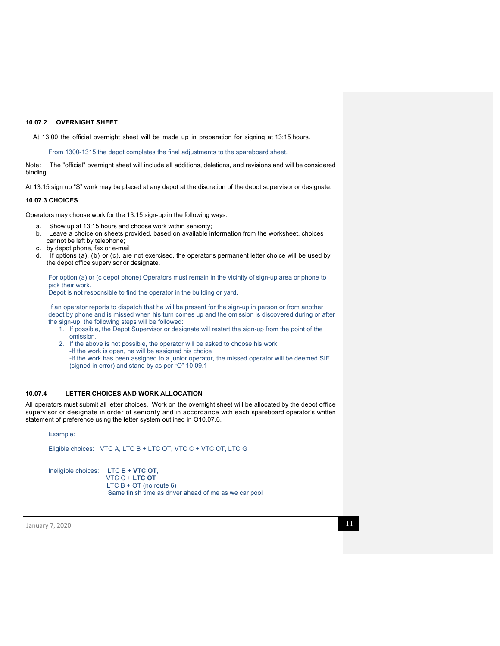### **10.07.2 OVERNIGHT SHEET**

At 13:00 the official overnight sheet will be made up in preparation for signing at 13:15 hours.

From 1300-1315 the depot completes the final adjustments to the spareboard sheet.

Note: The "official" overnight sheet will include all additions, deletions, and revisions and will be considered binding.

At 13:15 sign up "S" work may be placed at any depot at the discretion of the depot supervisor or designate.

#### **10.07.3 CHOICES**

Operators may choose work for the 13:15 sign-up in the following ways:

- a. Show up at 13:15 hours and choose work within seniority;
- b. Leave a choice on sheets provided, based on available information from the worksheet, choices cannot be left by telephone;
- c. by depot phone, fax or e-mail
- d. If options (a). (b) or (c). are not exercised, the operator's permanent letter choice will be used by the depot office supervisor or designate.

For option (a) or (c depot phone) Operators must remain in the vicinity of sign-up area or phone to pick their work.

Depot is not responsible to find the operator in the building or yard.

 If an operator reports to dispatch that he will be present for the sign-up in person or from another depot by phone and is missed when his turn comes up and the omission is discovered during or after the sign-up, the following steps will be followed:

- 1. If possible, the Depot Supervisor or designate will restart the sign-up from the point of the omission.
- 2. If the above is not possible, the operator will be asked to choose his work -If the work is open, he will be assigned his choice

-If the work has been assigned to a junior operator, the missed operator will be deemed SIE (signed in error) and stand by as per "O" 10.09.1

# **10.07.4 LETTER CHOICES AND WORK ALLOCATION**

All operators must submit all letter choices. Work on the overnight sheet will be allocated by the depot office supervisor or designate in order of seniority and in accordance with each spareboard operator's written statement of preference using the letter system outlined in O10.07.6.

## Example:

Eligible choices: VTC A, LTC B + LTC OT, VTC C + VTC OT, LTC G

Ineligible choices: LTC B + **VTC OT**, VTC C + **LTC OT**   $LTC B + OT$  (no route 6) Same finish time as driver ahead of me as we car pool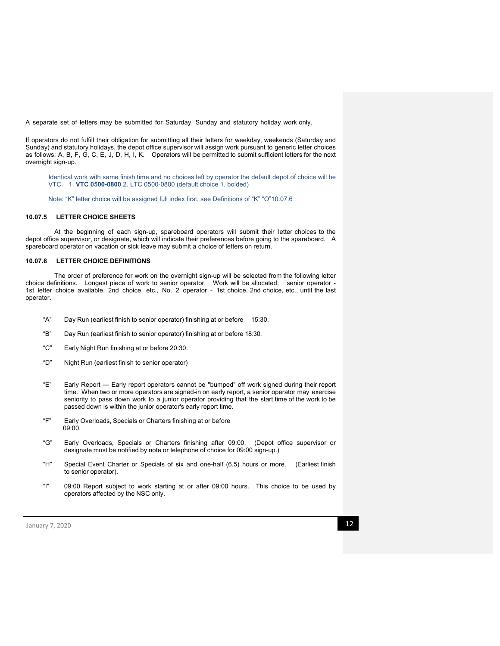A separate set of letters may be submitted for Saturday, Sunday and statutory holiday work only.

If operators do not fulfill their obligation for submitting all their letters for weekday, weekends (Saturday and Sunday) and statutory holidays, the depot office supervisor will assign work pursuant to generic letter choices as follows: A, B, F, G, C, E, J, D, H, I, K. Operators will be permitted to submit sufficient letters for the next overnight sign-up.

Identical work with same finish time and no choices left by operator the default depot of choice will be VTC. 1. **VTC 0500-0800** 2. LTC 0500-0800 (default choice 1. bolded)

Note: "K" letter choice will be assigned full index first, see Definitions of "K" "O"10.07.6

#### **10.07.5 LETTER CHOICE SHEETS**

At the beginning of each sign-up, spareboard operators will submit their letter choices to the depot office supervisor, or designate, which will indicate their preferences before going to the spareboard. A spareboard operator on vacation or sick leave may submit a choice of letters on return.

# **10.07.6 LETTER CHOICE DEFINITIONS**

The order of preference for work on the overnight sign-up will be selected from the following letter choice definitions. Longest piece of work to senior operator. Work will be allocated: senior operator - 1st letter choice available, 2nd choice, etc., No. 2 operator - 1st choice, 2nd choice, etc., until the last operator.

- "A" Day Run (earliest finish to senior operator) finishing at or before 15:30.
- "B" Day Run (earliest finish to senior operator) finishing at or before 18:30.
- "C" Early Night Run finishing at or before 20:30.
- "D" Night Run (earliest finish to senior operator)
- "E" Early Report Early report operators cannot be "bumped" off work signed during their report time. When two or more operators are signed-in on early report, a senior operator may exercise seniority to pass down work to a junior operator providing that the start time of the work to be passed down is within the junior operator's early report time.
- "F" Early Overloads, Specials or Charters finishing at or before 09:00.
- "G" Early Overloads, Specials or Charters finishing after 09:00. (Depot office supervisor or designate must be notified by note or telephone of choice for 09:00 sign-up.)
- "H" Special Event Charter or Specials of six and one-half (6.5) hours or more. (Earliest finish to senior operator).
- "I" 09:00 Report subject to work starting at or after 09:00 hours. This choice to be used by operators affected by the NSC only.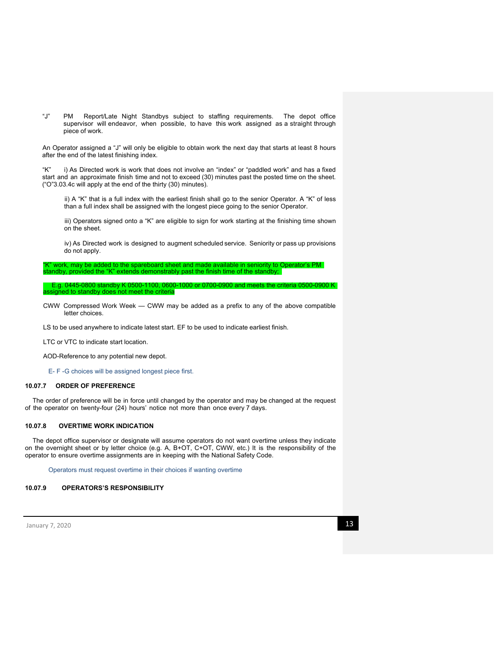"J" PM Report/Late Night Standbys subject to staffing requirements. The depot office supervisor will endeavor, when possible, to have this work assigned as a straight through piece of work.

An Operator assigned a "J" will only be eligible to obtain work the next day that starts at least 8 hours after the end of the latest finishing index.

"K" i) As Directed work is work that does not involve an "index" or "paddled work" and has a fixed start and an approximate finish time and not to exceed (30) minutes past the posted time on the sheet. ("O"3.03.4c will apply at the end of the thirty (30) minutes).

ii) A "K" that is a full index with the earliest finish shall go to the senior Operator. A "K" of less than a full index shall be assigned with the longest piece going to the senior Operator.

iii) Operators signed onto a "K" are eligible to sign for work starting at the finishing time shown on the sheet.

iv) As Directed work is designed to augment scheduled service. Seniority or pass up provisions do not apply.

"K" work, may be added to the spareboard sheet and made available in seniority to Operator's PM standby, provided the "K" extends demonstrably past the finish time of the standby;

E.g. 0445-0800 standby K 0500-1100, 0600-1000 or 0700-0900 and meets the criteria 0500-0900 K assigned to standby does not meet the criteria

CWW Compressed Work Week — CWW may be added as a prefix to any of the above compatible letter choices.

LS to be used anywhere to indicate latest start. EF to be used to indicate earliest finish.

LTC or VTC to indicate start location.

AOD-Reference to any potential new depot.

E- F -G choices will be assigned longest piece first.

### **10.07.7 ORDER OF PREFERENCE**

The order of preference will be in force until changed by the operator and may be changed at the request of the operator on twenty-four (24) hours' notice not more than once every 7 days.

# **10.07.8 OVERTIME WORK INDICATION**

The depot office supervisor or designate will assume operators do not want overtime unless they indicate on the overnight sheet or by letter choice (e.g. A, B+OT, C+OT, CWW, etc.) It is the responsibility of the operator to ensure overtime assignments are in keeping with the National Safety Code.

Operators must request overtime in their choices if wanting overtime

### **10.07.9 OPERATORS'S RESPONSIBILITY**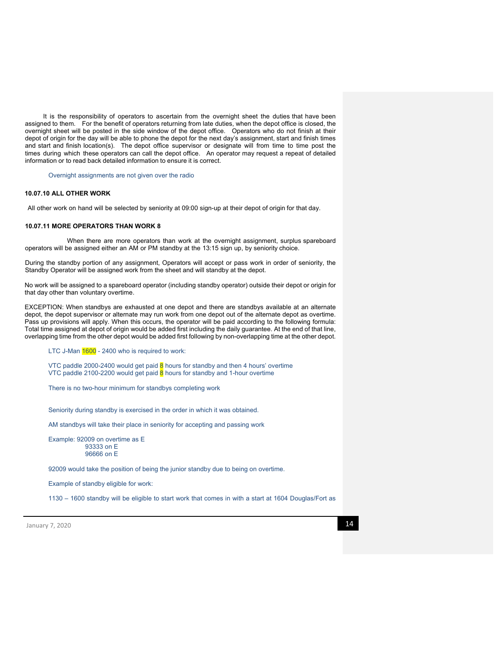It is the responsibility of operators to ascertain from the overnight sheet the duties that have been assigned to them. For the benefit of operators returning from late duties, when the depot office is closed, the overnight sheet will be posted in the side window of the depot office. Operators who do not finish at their depot of origin for the day will be able to phone the depot for the next day's assignment, start and finish times and start and finish location(s). The depot office supervisor or designate will from time to time post the times during which these operators can call the depot office. An operator may request a repeat of detailed information or to read back detailed information to ensure it is correct.

Overnight assignments are not given over the radio

#### **10.07.10 ALL OTHER WORK**

All other work on hand will be selected by seniority at 09:00 sign-up at their depot of origin for that day.

#### **10.07.11 MORE OPERATORS THAN WORK 8**

When there are more operators than work at the overnight assignment, surplus spareboard operators will be assigned either an AM or PM standby at the 13:15 sign up, by seniority choice.

During the standby portion of any assignment, Operators will accept or pass work in order of seniority, the Standby Operator will be assigned work from the sheet and will standby at the depot.

No work will be assigned to a spareboard operator (including standby operator) outside their depot or origin for that day other than voluntary overtime.

EXCEPTION: When standbys are exhausted at one depot and there are standbys available at an alternate depot, the depot supervisor or alternate may run work from one depot out of the alternate depot as overtime. Pass up provisions will apply. When this occurs, the operator will be paid according to the following formula: Total time assigned at depot of origin would be added first including the daily guarantee. At the end of that line, overlapping time from the other depot would be added first following by non-overlapping time at the other depot.

LTC J-Man 1600 - 2400 who is required to work:

VTC paddle 2000-2400 would get paid  $8$  hours for standby and then 4 hours' overtime VTC paddle 2100-2200 would get paid  $\frac{8}{5}$  hours for standby and 1-hour overtime

There is no two-hour minimum for standbys completing work

Seniority during standby is exercised in the order in which it was obtained.

AM standbys will take their place in seniority for accepting and passing work

Example: 92009 on overtime as E 93333 on E 96666 on E

92009 would take the position of being the junior standby due to being on overtime.

Example of standby eligible for work:

1130 – 1600 standby will be eligible to start work that comes in with a start at 1604 Douglas/Fort as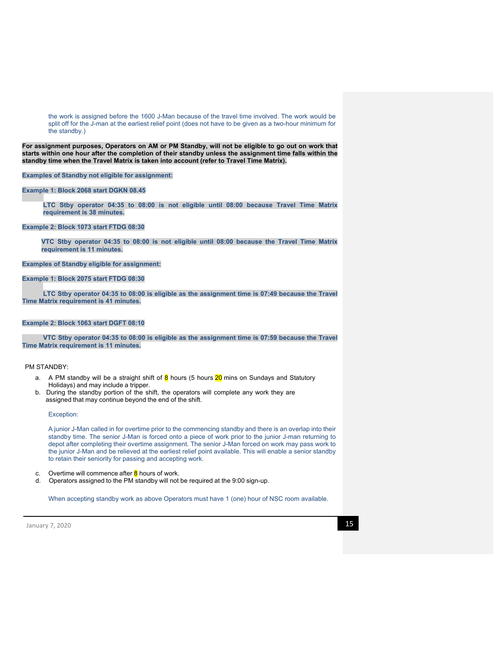the work is assigned before the 1600 J-Man because of the travel time involved. The work would be split off for the J-man at the earliest relief point (does not have to be given as a two-hour minimum for the standby.)

**For assignment purposes, Operators on AM or PM Standby, will not be eligible to go out on work that starts within one hour after the completion of their standby unless the assignment time falls within the standby time when the Travel Matrix is taken into account (refer to Travel Time Matrix).** 

**Examples of Standby not eligible for assignment:** 

# **Example 1: Block 2068 start DGKN 08.45**

**LTC Stby operator 04:35 to 08:00 is not eligible until 08:00 because Travel Time Matrix requirement is 38 minutes.** 

#### **Example 2: Block 1073 start FTDG 08:30**

**VTC Stby operator 04:35 to 08:00 is not eligible until 08:00 because the Travel Time Matrix requirement is 11 minutes.** 

**Examples of Standby eligible for assignment:** 

## **Example 1: Block 2075 start FTDG 08:30**

 **LTC Stby operator 04:35 to 08:00 is eligible as the assignment time is 07:49 because the Travel Time Matrix requirement is 41 minutes.** 

## **Example 2: Block 1063 start DGFT 08:10**

 **VTC Stby operator 04:35 to 08:00 is eligible as the assignment time is 07:59 because the Travel Time Matrix requirement is 11 minutes.** 

# PM STANDBY:

- a. A PM standby will be a straight shift of  $\frac{8}{6}$  hours (5 hours  $\frac{20}{6}$  mins on Sundays and Statutory Holidays) and may include a tripper.
- b. During the standby portion of the shift, the operators will complete any work they are assigned that may continue beyond the end of the shift.

#### Exception:

A junior J-Man called in for overtime prior to the commencing standby and there is an overlap into their standby time. The senior J-Man is forced onto a piece of work prior to the junior J-man returning to depot after completing their overtime assignment. The senior J-Man forced on work may pass work to the junior J-Man and be relieved at the earliest relief point available. This will enable a senior standby to retain their seniority for passing and accepting work.

- c. Overtime will commence after  $8$  hours of work.
- d. Operators assigned to the PM standby will not be required at the 9:00 sign-up.

When accepting standby work as above Operators must have 1 (one) hour of NSC room available.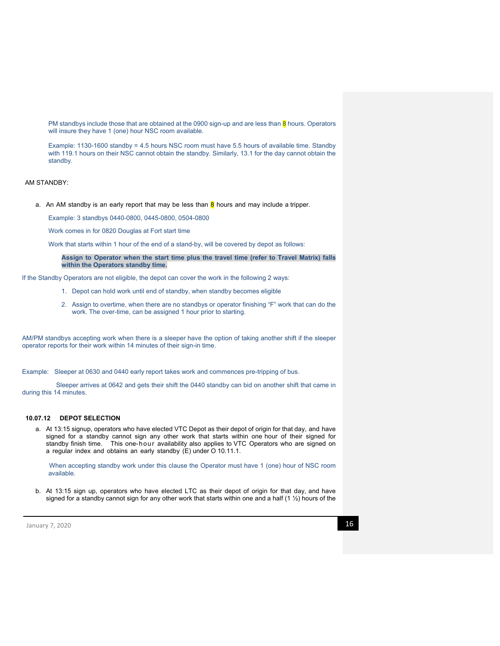PM standbys include those that are obtained at the 0900 sign-up and are less than  $\overline{8}$  hours. Operators will insure they have 1 (one) hour NSC room available.

Example: 1130-1600 standby = 4.5 hours NSC room must have 5.5 hours of available time. Standby with 119.1 hours on their NSC cannot obtain the standby. Similarly, 13.1 for the day cannot obtain the standby.

AM STANDBY:

a. An AM standby is an early report that may be less than  $\frac{8}{9}$  hours and may include a tripper.

Example: 3 standbys 0440-0800, 0445-0800, 0504-0800

Work comes in for 0820 Douglas at Fort start time

Work that starts within 1 hour of the end of a stand-by, will be covered by depot as follows:

**Assign to Operator when the start time plus the travel time (refer to Travel Matrix) falls within the Operators standby time.** 

If the Standby Operators are not eligible, the depot can cover the work in the following 2 ways:

- 1. Depot can hold work until end of standby, when standby becomes eligible
- 2. Assign to overtime, when there are no standbys or operator finishing "F" work that can do the work. The over-time, can be assigned 1 hour prior to starting.

AM/PM standbys accepting work when there is a sleeper have the option of taking another shift if the sleeper operator reports for their work within 14 minutes of their sign-in time.

Example: Sleeper at 0630 and 0440 early report takes work and commences pre-tripping of bus.

 Sleeper arrives at 0642 and gets their shift the 0440 standby can bid on another shift that came in during this 14 minutes.

# **10.07.12 DEPOT SELECTION**

a. At 13:15 signup, operators who have elected VTC Depot as their depot of origin for that day, and have signed for a standby cannot sign any other work that starts within one hour of their signed for standby finish time. This one-hour availability also applies to VTC Operators who are signed on a regular index and obtains an early standby (E) under O 10.11.1.

 When accepting standby work under this clause the Operator must have 1 (one) hour of NSC room available.

b. At 13:15 sign up, operators who have elected LTC as their depot of origin for that day, and have signed for a standby cannot sign for any other work that starts within one and a half (1  $\frac{1}{2}$ ) hours of the

 $\mu$  January 7, 2020 **16**  $\mu$  **16**  $\mu$  **16**  $\mu$  **16**  $\mu$  **16**  $\mu$  **16**  $\mu$  **16**  $\mu$  **16**  $\mu$  **16**  $\mu$  **16**  $\mu$  **16**  $\mu$  **16**  $\mu$  **16**  $\mu$  **16**  $\mu$  **16**  $\mu$  **16**  $\mu$  **16**  $\mu$  **16**  $\mu$  **16**  $\mu$  **16**  $\mu$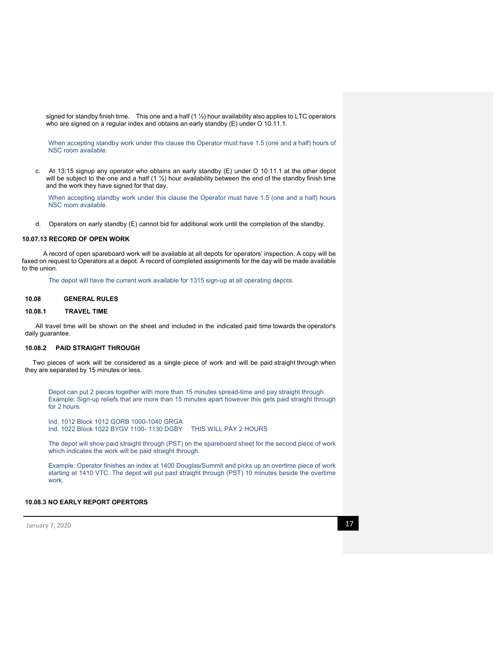signed for standby finish time. This one and a half (1 1/2) hour availability also applies to LTC operators who are signed on a regular index and obtains an early standby (E) under O 10.11.1.

When accepting standby work under this clause the Operator must have 1.5 (one and a half) hours of NSC room available.

c. At 13:15 signup any operator who obtains an early standby (E) under O 10.11.1 at the other depot will be subject to the one and a half  $(1 \frac{1}{2})$  hour availability between the end of the standby finish time and the work they have signed for that day.

When accepting standby work under this clause the Operator must have 1.5 (one and a half) hours NSC room available.

d. Operators on early standby (E) cannot bid for additional work until the completion of the standby.

#### **10.07.13 RECORD OF OPEN WORK**

A record of open spareboard work will be available at all depots for operators' inspection. A copy will be faxed on request to Operators at a depot. A record of completed assignments for the day will be made available to the union.

The depot will have the current work available for 1315 sign-up at all operating depots.

## **10.08 GENERAL RULES**

#### **10.08.1 TRAVEL TIME**

All travel time will be shown on the sheet and included in the indicated paid time towards the operator's daily guarantee.

#### **10.08.2 PAID STRAIGHT THROUGH**

Two pieces of work will be considered as a single piece of work and will be paid straight through when they are separated by 15 minutes or less.

Depot can put 2 pieces together with more than 15 minutes spread-time and pay straight through Example: Sign-up reliefs that are more than 15 minutes apart however this gets paid straight through for 2 hours.

Ind. 1012 Block 1012 GORB 1000-1040 GRGA Ind. 1022 Block 1022 BYGV 1100- 1130 DGBY THIS WILL PAY 2 HOURS

The depot will show paid straight through (PST) on the spareboard sheet for the second piece of work which indicates the work will be paid straight through.

Example: Operator finishes an index at 1400 Douglas/Summit and picks up an overtime piece of work starting at 1410 VTC. The depot will put paid straight through (PST) 10 minutes beside the overtime work.

# **10.08.3 NO EARLY REPORT OPERTORS**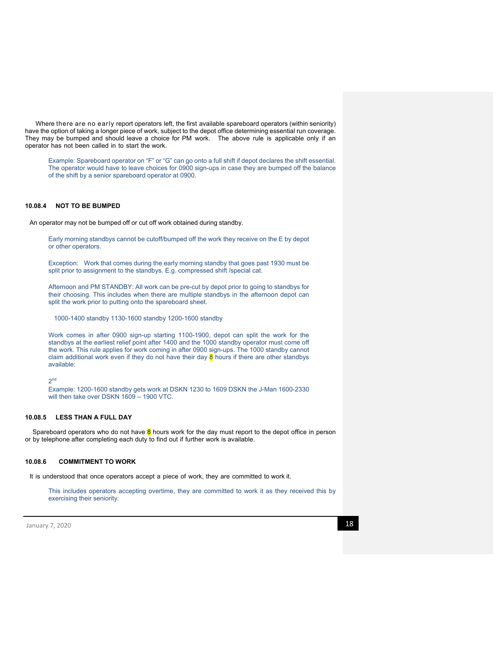Where there are no early report operators left, the first available spareboard operators (within seniority) have the option of taking a longer piece of work, subject to the depot office determining essential run coverage. They may be bumped and should leave a choice for PM work. The above rule is applicable only if an operator has not been called in to start the work.

Example: Spareboard operator on "F" or "G" can go onto a full shift if depot declares the shift essential. The operator would have to leave choices for 0900 sign-ups in case they are bumped off the balance of the shift by a senior spareboard operator at 0900.

# **10.08.4 NOT TO BE BUMPED**

An operator may not be bumped off or cut off work obtained during standby.

Early morning standbys cannot be cutoff/bumped off the work they receive on the E by depot or other operators.

Exception: Work that comes during the early morning standby that goes past 1930 must be split prior to assignment to the standbys. E.g. compressed shift /special cat.

Afternoon and PM STANDBY: All work can be pre-cut by depot prior to going to standbys for their choosing. This includes when there are multiple standbys in the afternoon depot can split the work prior to putting onto the spareboard sheet.

1000-1400 standby 1130-1600 standby 1200-1600 standby

Work comes in after 0900 sign-up starting 1100-1900, depot can split the work for the standbys at the earliest relief point after 1400 and the 1000 standby operator must come off the work. This rule applies for work coming in after 0900 sign-ups. The 1000 standby cannot claim additional work even if they do not have their day  $\frac{8}{9}$  hours if there are other standbys available:

#### 2nd

Example: 1200-1600 standby gets work at DSKN 1230 to 1609 DSKN the J-Man 1600-2330 will then take over DSKN 1609 – 1900 VTC.

### **10.08.5 LESS THAN A FULL DAY**

Spareboard operators who do not have 8 hours work for the day must report to the depot office in person or by telephone after completing each duty to find out if further work is available.

### **10.08.6 COMMITMENT TO WORK**

It is understood that once operators accept a piece of work, they are committed to work it.

This includes operators accepting overtime, they are committed to work it as they received this by exercising their seniority.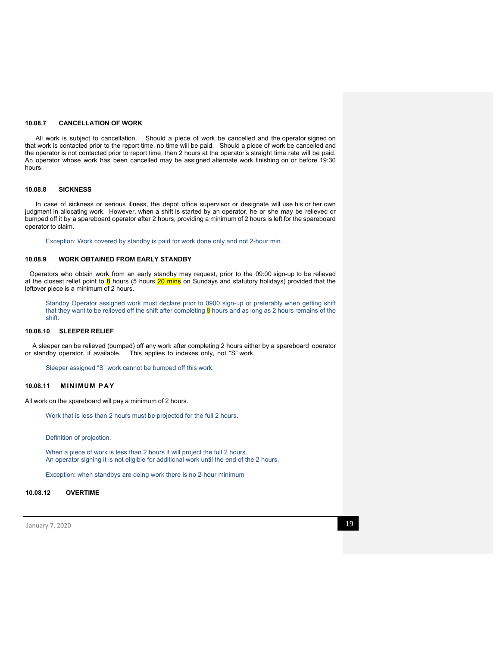### **10.08.7 CANCELLATION OF WORK**

All work is subject to cancellation. Should a piece of work be cancelled and the operator signed on that work is contacted prior to the report time, no time will be paid. Should a piece of work be cancelled and the operator is not contacted prior to report time, then 2 hours at the operator's straight time rate will be paid. An operator whose work has been cancelled may be assigned alternate work finishing on or before 19:30 hours.

#### **10.08.8 SICKNESS**

In case of sickness or serious illness, the depot office supervisor or designate will use his or her own judgment in allocating work. However, when a shift is started by an operator, he or she may be relieved or bumped off it by a spareboard operator after 2 hours, providing a minimum of 2 hours is left for the spareboard operator to claim.

Exception: Work covered by standby is paid for work done only and not 2-hour min.

## **10.08.9 WORK OBTAINED FROM EARLY STANDBY**

Operators who obtain work from an early standby may request, prior to the 09:00 sign-up to be relieved at the closest relief point to 8 hours (5 hours 20 mins on Sundays and statutory holidays) provided that the leftover piece is a minimum of 2 hours.

Standby Operator assigned work must declare prior to 0900 sign-up or preferably when getting shift that they want to be relieved off the shift after completing  $\overline{8}$  hours and as long as 2 hours remains of the shift.

#### **10.08.10 SLEEPER RELIEF**

A sleeper can be relieved (bumped) off any work after completing 2 hours either by a spareboard operator or standby operator, if available. This applies to indexes only, not "S" work.

Sleeper assigned "S" work cannot be bumped off this work.

### **10.08.11 MINIMUM PAY**

All work on the spareboard will pay a minimum of 2 hours.

Work that is less than 2 hours must be projected for the full 2 hours.

Definition of projection:

When a piece of work is less than 2 hours it will project the full 2 hours. An operator signing it is not eligible for additional work until the end of the 2 hours.

Exception: when standbys are doing work there is no 2-hour minimum

## **10.08.12 OVERTIME**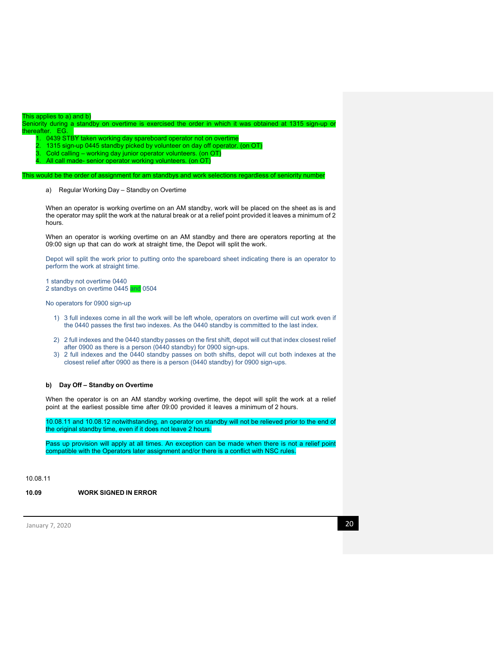| This applies to a) and b)                                                                                 |  |
|-----------------------------------------------------------------------------------------------------------|--|
| Seniority during a standby on overtime is exercised the order in which it was obtained at 1315 sign-up or |  |
| thereafter. EG.                                                                                           |  |
| 1. 0439 STBY taken working day spareboard operator not on overtime                                        |  |
| 2. 1315 sign-up 0445 standby picked by volunteer on day off operator. (on OT)                             |  |
| 3. Cold calling - working day junior operator volunteers. (on OT)                                         |  |

4. All call made- senior operator working volunteers. (on OT)

would be the order of assignment for am standbys and work selections regardless of seniority numl

a) Regular Working Day – Standby on Overtime

When an operator is working overtime on an AM standby, work will be placed on the sheet as is and the operator may split the work at the natural break or at a relief point provided it leaves a minimum of 2 hours.

When an operator is working overtime on an AM standby and there are operators reporting at the 09:00 sign up that can do work at straight time, the Depot will split the work.

Depot will split the work prior to putting onto the spareboard sheet indicating there is an operator to perform the work at straight time.

1 standby not overtime 0440

2 standbys on overtime 0445 and 0504

No operators for 0900 sign-up

- 1) 3 full indexes come in all the work will be left whole, operators on overtime will cut work even if the 0440 passes the first two indexes. As the 0440 standby is committed to the last index.
- 2) 2 full indexes and the 0440 standby passes on the first shift, depot will cut that index closest relief after 0900 as there is a person (0440 standby) for 0900 sign-ups.
- 3) 2 full indexes and the 0440 standby passes on both shifts, depot will cut both indexes at the closest relief after 0900 as there is a person (0440 standby) for 0900 sign-ups.

### **b) Day Off – Standby on Overtime**

When the operator is on an AM standby working overtime, the depot will split the work at a relief point at the earliest possible time after 09:00 provided it leaves a minimum of 2 hours.

10.08.11 and 10.08.12 notwithstanding, an operator on standby will not be relieved prior to the end of the original standby time, even if it does not leave 2 hours.

Pass up provision will apply at all times. An exception can be made when there is not a relief point compatible with the Operators later assignment and/or there is a conflict with NSC rules.

10.08.11

**10.09 WORK SIGNED IN ERROR**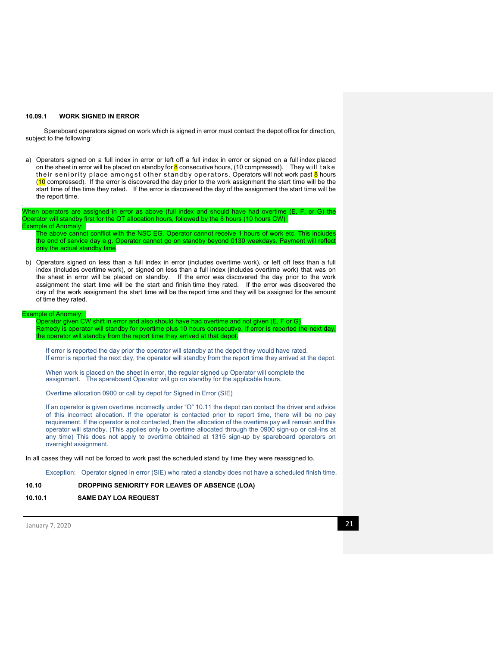### **10.09.1 WORK SIGNED IN ERROR**

Spareboard operators signed on work which is signed in error must contact the depot office for direction, subject to the following:

a) Operators signed on a full index in error or left off a full index in error or signed on a full index placed on the sheet in error will be placed on standby for  $\frac{8}{9}$  consecutive hours, (10 compressed). They will take their seniority place amongst other standby operators. Operators will not work past  $8$  hours (10 compressed). If the error is discovered the day prior to the work assignment the start time will be the start time of the time they rated. If the error is discovered the day of the assignment the start time will be the report time.

When operators are assigned in error as above (full index and should have had overtime (E, F, or G) the Operator will standby first for the OT allocation hours, followed by the 8 hours (10 hours CW) Example of Anomaly:

The above cannot conflict with the NSC EG. Operator cannot receive 1 hours of work etc. This includes the end of service day e.g. Operator cannot go on standby beyond 0130 weekdays. Payment will reflect only the actual standby time.

b) Operators signed on less than a full index in error (includes overtime work), or left off less than a full index (includes overtime work), or signed on less than a full index (includes overtime work) that was on the sheet in error will be placed on standby. If the error was discovered the day prior to the work assignment the start time will be the start and finish time they rated. If the error was discovered the day of the work assignment the start time will be the report time and they will be assigned for the amount of time they rated.

#### Example of Anomaly:

.

Operator given CW shift in error and also should have had overtime and not given (E, F or G) Remedy is operator will standby for overtime plus 10 hours consecutive. If error is reported the next day, he operator will standby from the report time they arrived at that depot.

If error is reported the day prior the operator will standby at the depot they would have rated. If error is reported the next day, the operator will standby from the report time they arrived at the depot.

When work is placed on the sheet in error, the regular signed up Operator will complete the assignment. The spareboard Operator will go on standby for the applicable hours.

Overtime allocation 0900 or call by depot for Signed in Error (SIE)

If an operator is given overtime incorrectly under "O" 10.11 the depot can contact the driver and advice of this incorrect allocation. If the operator is contacted prior to report time, there will be no pay requirement. If the operator is not contacted, then the allocation of the overtime pay will remain and this operator will standby. (This applies only to overtime allocated through the 0900 sign-up or call-ins at any time) This does not apply to overtime obtained at 1315 sign-up by spareboard operators on overnight assignment.

In all cases they will not be forced to work past the scheduled stand by time they were reassigned to.

Exception: Operator signed in error (SIE) who rated a standby does not have a scheduled finish time.

### **10.10 DROPPING SENIORITY FOR LEAVES OF ABSENCE (LOA)**

**10.10.1 SAME DAY LOA REQUEST**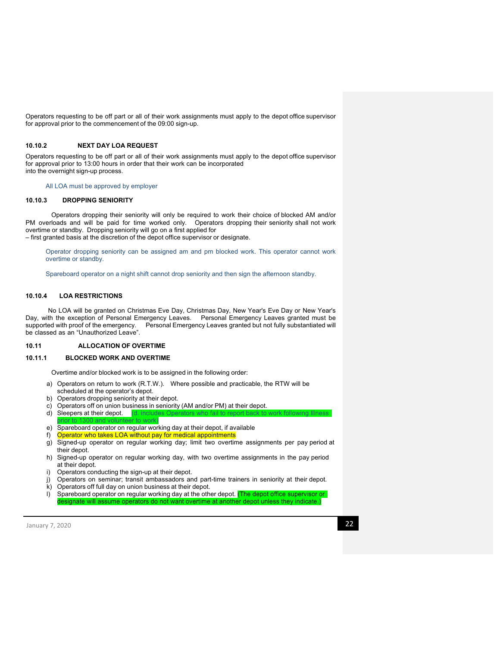Operators requesting to be off part or all of their work assignments must apply to the depot office supervisor for approval prior to the commencement of the 09:00 sign-up.

## **10.10.2 NEXT DAY LOA REQUEST**

Operators requesting to be off part or all of their work assignments must apply to the depot office supervisor for approval prior to 13:00 hours in order that their work can be incorporated into the overnight sign-up process.

All LOA must be approved by employer

#### **10.10.3 DROPPING SENIORITY**

Operators dropping their seniority will only be required to work their choice of blocked AM and/or PM overloads and will be paid for time worked only. Operators dropping their seniority shall not work overtime or standby. Dropping seniority will go on a first applied for – first granted basis at the discretion of the depot office supervisor or designate.

Operator dropping seniority can be assigned am and pm blocked work. This operator cannot work overtime or standby.

Spareboard operator on a night shift cannot drop seniority and then sign the afternoon standby.

# **10.10.4 LOA RESTRICTIONS**

No LOA will be granted on Christmas Eve Day, Christmas Day, New Year's Eve Day or New Year's Day, with the exception of Personal Emergency Leaves. Personal Emergency Leaves granted must be supported with proof of the emergency. Personal Emergency Leaves granted but not fully substantiated will be classed as an "Unauthorized Leave".

# **10.11 ALLOCATION OF OVERTIME**

### **10.11.1 BLOCKED WORK AND OVERTIME**

Overtime and/or blocked work is to be assigned in the following order:

- a) Operators on return to work (R.T.W.). Where possible and practicable, the RTW will be scheduled at the operator's depot.
- b) Operators dropping seniority at their depot.
- c) Operators off on union business in seniority (AM and/or PM) at their depot.
- d) Sleepers at their depot.
- prior to 1300 and volunteer to work)
- e) Spareboard operator on regular working day at their depot, if available f<br>f) Operator who takes I OA without pay for medical appointments Operator who takes LOA without pay for medical appointments
- g) Signed-up operator on regular working day; limit two overtime assignments per pay period at their depot.
- h) Signed-up operator on regular working day, with two overtime assignments in the pay period at their depot.
- i) Operators conducting the sign-up at their depot.
- j) Operators on seminar; transit ambassadors and part-time trainers in seniority at their depot.
- k) Operators off full day on union business at their depot.
- I) Spareboard operator on regular working day at the other depot. (The depot office supervisor or qnate will assume operators do not want overtime at another depot unless they indicate.)